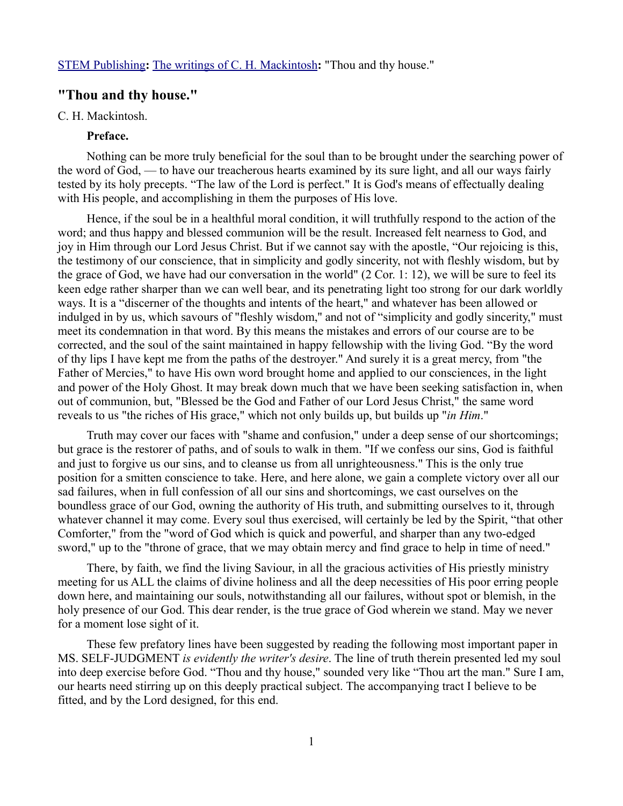# **"Thou and thy house."**

## C. H. Mackintosh.

## **Preface.**

Nothing can be more truly beneficial for the soul than to be brought under the searching power of the word of God, — to have our treacherous hearts examined by its sure light, and all our ways fairly tested by its holy precepts. "The law of the Lord is perfect." It is God's means of effectually dealing with His people, and accomplishing in them the purposes of His love.

Hence, if the soul be in a healthful moral condition, it will truthfully respond to the action of the word; and thus happy and blessed communion will be the result. Increased felt nearness to God, and joy in Him through our Lord Jesus Christ. But if we cannot say with the apostle, "Our rejoicing is this, the testimony of our conscience, that in simplicity and godly sincerity, not with fleshly wisdom, but by the grace of God, we have had our conversation in the world" (2 Cor. 1: 12), we will be sure to feel its keen edge rather sharper than we can well bear, and its penetrating light too strong for our dark worldly ways. It is a "discerner of the thoughts and intents of the heart," and whatever has been allowed or indulged in by us, which savours of "fleshly wisdom," and not of "simplicity and godly sincerity," must meet its condemnation in that word. By this means the mistakes and errors of our course are to be corrected, and the soul of the saint maintained in happy fellowship with the living God. "By the word of thy lips I have kept me from the paths of the destroyer." And surely it is a great mercy, from "the Father of Mercies," to have His own word brought home and applied to our consciences, in the light and power of the Holy Ghost. It may break down much that we have been seeking satisfaction in, when out of communion, but, "Blessed be the God and Father of our Lord Jesus Christ," the same word reveals to us "the riches of His grace," which not only builds up, but builds up "*in Him*."

Truth may cover our faces with "shame and confusion," under a deep sense of our shortcomings; but grace is the restorer of paths, and of souls to walk in them. "If we confess our sins, God is faithful and just to forgive us our sins, and to cleanse us from all unrighteousness." This is the only true position for a smitten conscience to take. Here, and here alone, we gain a complete victory over all our sad failures, when in full confession of all our sins and shortcomings, we cast ourselves on the boundless grace of our God, owning the authority of His truth, and submitting ourselves to it, through whatever channel it may come. Every soul thus exercised, will certainly be led by the Spirit, "that other Comforter," from the "word of God which is quick and powerful, and sharper than any two-edged sword," up to the "throne of grace, that we may obtain mercy and find grace to help in time of need."

There, by faith, we find the living Saviour, in all the gracious activities of His priestly ministry meeting for us ALL the claims of divine holiness and all the deep necessities of His poor erring people down here, and maintaining our souls, notwithstanding all our failures, without spot or blemish, in the holy presence of our God. This dear render, is the true grace of God wherein we stand. May we never for a moment lose sight of it.

These few prefatory lines have been suggested by reading the following most important paper in MS. SELF-JUDGMENT *is evidently the writer's desire*. The line of truth therein presented led my soul into deep exercise before God. "Thou and thy house," sounded very like "Thou art the man." Sure I am, our hearts need stirring up on this deeply practical subject. The accompanying tract I believe to be fitted, and by the Lord designed, for this end.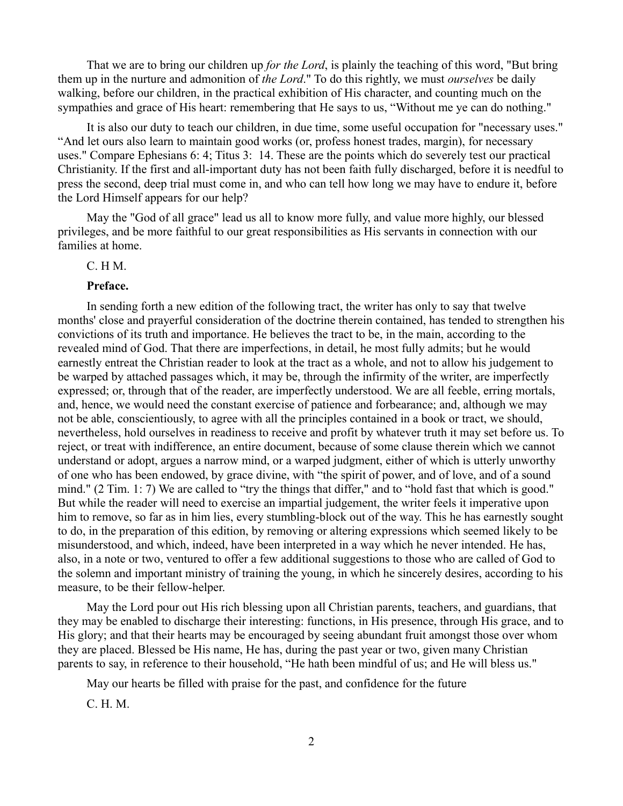That we are to bring our children up *for the Lord*, is plainly the teaching of this word, "But bring them up in the nurture and admonition of *the Lord*." To do this rightly, we must *ourselves* be daily walking, before our children, in the practical exhibition of His character, and counting much on the sympathies and grace of His heart: remembering that He says to us, "Without me ye can do nothing."

It is also our duty to teach our children, in due time, some useful occupation for "necessary uses." "And let ours also learn to maintain good works (or, profess honest trades, margin), for necessary uses." Compare Ephesians 6: 4; Titus 3: 14. These are the points which do severely test our practical Christianity. If the first and all-important duty has not been faith fully discharged, before it is needful to press the second, deep trial must come in, and who can tell how long we may have to endure it, before the Lord Himself appears for our help?

May the "God of all grace" lead us all to know more fully, and value more highly, our blessed privileges, and be more faithful to our great responsibilities as His servants in connection with our families at home.

## C. H M.

#### **Preface.**

In sending forth a new edition of the following tract, the writer has only to say that twelve months' close and prayerful consideration of the doctrine therein contained, has tended to strengthen his convictions of its truth and importance. He believes the tract to be, in the main, according to the revealed mind of God. That there are imperfections, in detail, he most fully admits; but he would earnestly entreat the Christian reader to look at the tract as a whole, and not to allow his judgement to be warped by attached passages which, it may be, through the infirmity of the writer, are imperfectly expressed; or, through that of the reader, are imperfectly understood. We are all feeble, erring mortals, and, hence, we would need the constant exercise of patience and forbearance; and, although we may not be able, conscientiously, to agree with all the principles contained in a book or tract, we should, nevertheless, hold ourselves in readiness to receive and profit by whatever truth it may set before us. To reject, or treat with indifference, an entire document, because of some clause therein which we cannot understand or adopt, argues a narrow mind, or a warped judgment, either of which is utterly unworthy of one who has been endowed, by grace divine, with "the spirit of power, and of love, and of a sound mind." (2 Tim. 1: 7) We are called to "try the things that differ," and to "hold fast that which is good." But while the reader will need to exercise an impartial judgement, the writer feels it imperative upon him to remove, so far as in him lies, every stumbling-block out of the way. This he has earnestly sought to do, in the preparation of this edition, by removing or altering expressions which seemed likely to be misunderstood, and which, indeed, have been interpreted in a way which he never intended. He has, also, in a note or two, ventured to offer a few additional suggestions to those who are called of God to the solemn and important ministry of training the young, in which he sincerely desires, according to his measure, to be their fellow-helper.

May the Lord pour out His rich blessing upon all Christian parents, teachers, and guardians, that they may be enabled to discharge their interesting: functions, in His presence, through His grace, and to His glory; and that their hearts may be encouraged by seeing abundant fruit amongst those over whom they are placed. Blessed be His name, He has, during the past year or two, given many Christian parents to say, in reference to their household, "He hath been mindful of us; and He will bless us."

May our hearts be filled with praise for the past, and confidence for the future

C. H. M.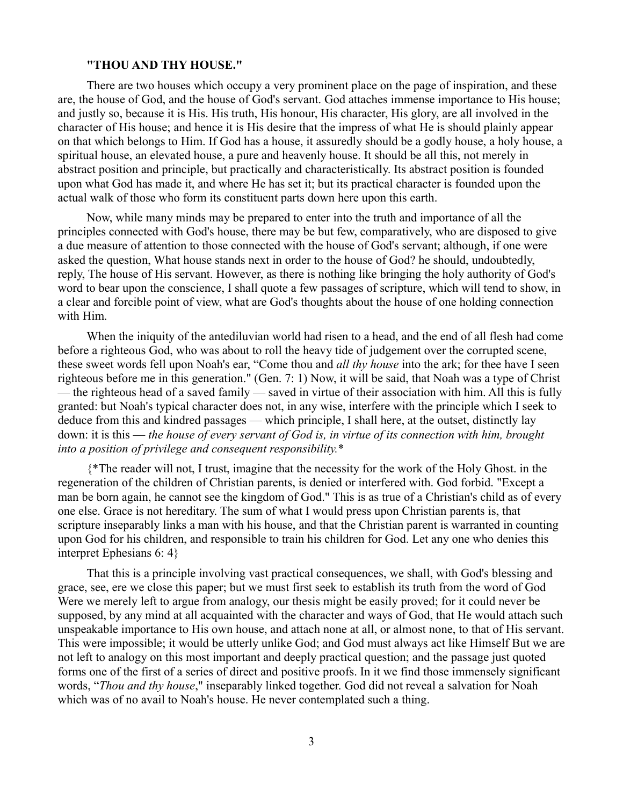#### **"THOU AND THY HOUSE."**

There are two houses which occupy a very prominent place on the page of inspiration, and these are, the house of God, and the house of God's servant. God attaches immense importance to His house; and justly so, because it is His. His truth, His honour, His character, His glory, are all involved in the character of His house; and hence it is His desire that the impress of what He is should plainly appear on that which belongs to Him. If God has a house, it assuredly should be a godly house, a holy house, a spiritual house, an elevated house, a pure and heavenly house. It should be all this, not merely in abstract position and principle, but practically and characteristically. Its abstract position is founded upon what God has made it, and where He has set it; but its practical character is founded upon the actual walk of those who form its constituent parts down here upon this earth.

Now, while many minds may be prepared to enter into the truth and importance of all the principles connected with God's house, there may be but few, comparatively, who are disposed to give a due measure of attention to those connected with the house of God's servant; although, if one were asked the question, What house stands next in order to the house of God? he should, undoubtedly, reply, The house of His servant. However, as there is nothing like bringing the holy authority of God's word to bear upon the conscience, I shall quote a few passages of scripture, which will tend to show, in a clear and forcible point of view, what are God's thoughts about the house of one holding connection with Him.

When the iniquity of the antediluvian world had risen to a head, and the end of all flesh had come before a righteous God, who was about to roll the heavy tide of judgement over the corrupted scene, these sweet words fell upon Noah's ear, "Come thou and *all thy house* into the ark; for thee have I seen righteous before me in this generation." (Gen. 7: 1) Now, it will be said, that Noah was a type of Christ — the righteous head of a saved family — saved in virtue of their association with him. All this is fully granted: but Noah's typical character does not, in any wise, interfere with the principle which I seek to deduce from this and kindred passages — which principle, I shall here, at the outset, distinctly lay down: it is this — *the house of every servant of God is, in virtue of its connection with him, brought into a position of privilege and consequent responsibility.*\*

{\*The reader will not, I trust, imagine that the necessity for the work of the Holy Ghost. in the regeneration of the children of Christian parents, is denied or interfered with. God forbid. "Except a man be born again, he cannot see the kingdom of God." This is as true of a Christian's child as of every one else. Grace is not hereditary. The sum of what I would press upon Christian parents is, that scripture inseparably links a man with his house, and that the Christian parent is warranted in counting upon God for his children, and responsible to train his children for God. Let any one who denies this interpret Ephesians 6: 4}

That this is a principle involving vast practical consequences, we shall, with God's blessing and grace, see, ere we close this paper; but we must first seek to establish its truth from the word of God Were we merely left to argue from analogy, our thesis might be easily proved; for it could never be supposed, by any mind at all acquainted with the character and ways of God, that He would attach such unspeakable importance to His own house, and attach none at all, or almost none, to that of His servant. This were impossible; it would be utterly unlike God; and God must always act like Himself But we are not left to analogy on this most important and deeply practical question; and the passage just quoted forms one of the first of a series of direct and positive proofs. In it we find those immensely significant words, "*Thou and thy house*," inseparably linked together. God did not reveal a salvation for Noah which was of no avail to Noah's house. He never contemplated such a thing.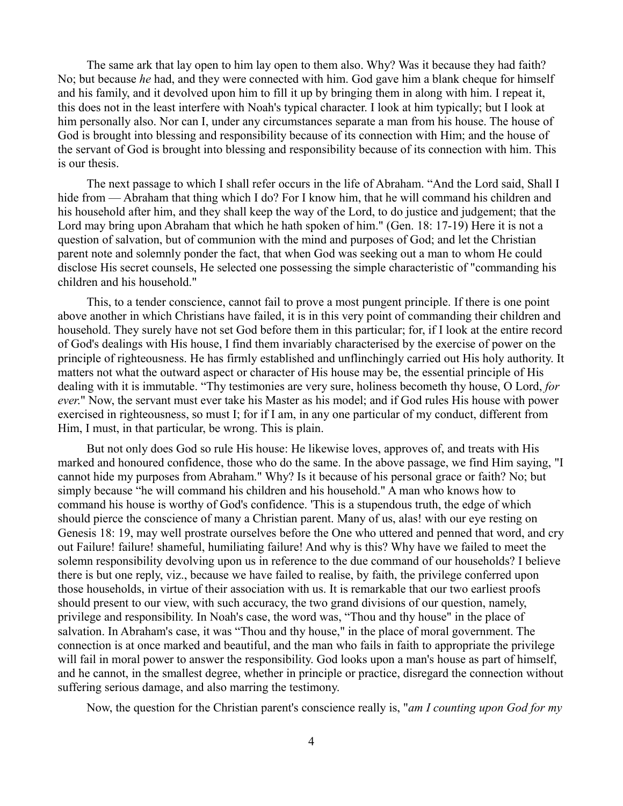The same ark that lay open to him lay open to them also. Why? Was it because they had faith? No; but because *he* had, and they were connected with him. God gave him a blank cheque for himself and his family, and it devolved upon him to fill it up by bringing them in along with him. I repeat it, this does not in the least interfere with Noah's typical character. I look at him typically; but I look at him personally also. Nor can I, under any circumstances separate a man from his house. The house of God is brought into blessing and responsibility because of its connection with Him; and the house of the servant of God is brought into blessing and responsibility because of its connection with him. This is our thesis.

The next passage to which I shall refer occurs in the life of Abraham. "And the Lord said, Shall I hide from — Abraham that thing which I do? For I know him, that he will command his children and his household after him, and they shall keep the way of the Lord, to do justice and judgement; that the Lord may bring upon Abraham that which he hath spoken of him." (Gen. 18: 17-19) Here it is not a question of salvation, but of communion with the mind and purposes of God; and let the Christian parent note and solemnly ponder the fact, that when God was seeking out a man to whom He could disclose His secret counsels, He selected one possessing the simple characteristic of "commanding his children and his household."

This, to a tender conscience, cannot fail to prove a most pungent principle. If there is one point above another in which Christians have failed, it is in this very point of commanding their children and household. They surely have not set God before them in this particular; for, if I look at the entire record of God's dealings with His house, I find them invariably characterised by the exercise of power on the principle of righteousness. He has firmly established and unflinchingly carried out His holy authority. It matters not what the outward aspect or character of His house may be, the essential principle of His dealing with it is immutable. "Thy testimonies are very sure, holiness becometh thy house, O Lord, *for ever*." Now, the servant must ever take his Master as his model; and if God rules His house with power exercised in righteousness, so must I; for if I am, in any one particular of my conduct, different from Him, I must, in that particular, be wrong. This is plain.

But not only does God so rule His house: He likewise loves, approves of, and treats with His marked and honoured confidence, those who do the same. In the above passage, we find Him saying, "I cannot hide my purposes from Abraham." Why? Is it because of his personal grace or faith? No; but simply because "he will command his children and his household." A man who knows how to command his house is worthy of God's confidence. 'This is a stupendous truth, the edge of which should pierce the conscience of many a Christian parent. Many of us, alas! with our eye resting on Genesis 18: 19, may well prostrate ourselves before the One who uttered and penned that word, and cry out Failure! failure! shameful, humiliating failure! And why is this? Why have we failed to meet the solemn responsibility devolving upon us in reference to the due command of our households? I believe there is but one reply, viz., because we have failed to realise, by faith, the privilege conferred upon those households, in virtue of their association with us. It is remarkable that our two earliest proofs should present to our view, with such accuracy, the two grand divisions of our question, namely, privilege and responsibility. In Noah's case, the word was, "Thou and thy house" in the place of salvation. In Abraham's case, it was "Thou and thy house," in the place of moral government. The connection is at once marked and beautiful, and the man who fails in faith to appropriate the privilege will fail in moral power to answer the responsibility. God looks upon a man's house as part of himself, and he cannot, in the smallest degree, whether in principle or practice, disregard the connection without suffering serious damage, and also marring the testimony.

Now, the question for the Christian parent's conscience really is, "*am I counting upon God for my*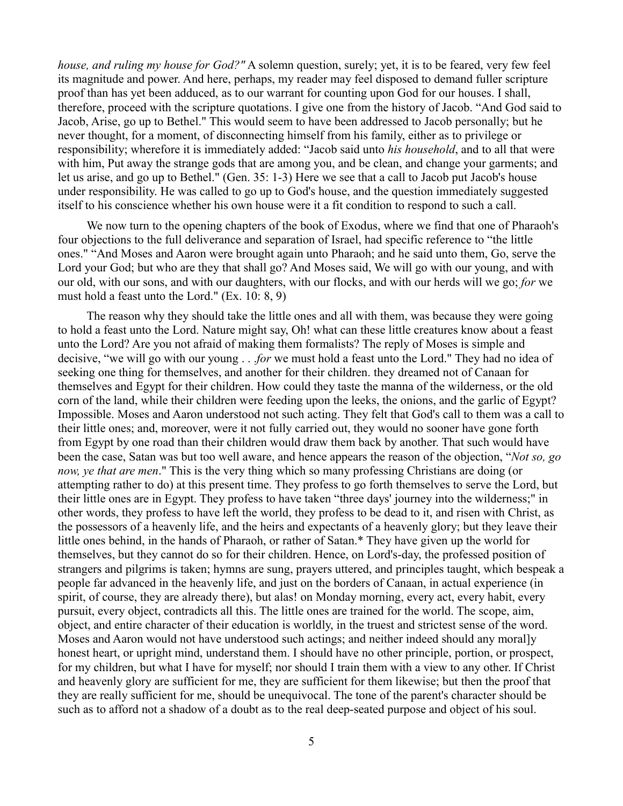*house, and ruling my house for God?"* A solemn question, surely; yet, it is to be feared, very few feel its magnitude and power. And here, perhaps, my reader may feel disposed to demand fuller scripture proof than has yet been adduced, as to our warrant for counting upon God for our houses. I shall, therefore, proceed with the scripture quotations. I give one from the history of Jacob. "And God said to Jacob, Arise, go up to Bethel." This would seem to have been addressed to Jacob personally; but he never thought, for a moment, of disconnecting himself from his family, either as to privilege or responsibility; wherefore it is immediately added: "Jacob said unto *his household*, and to all that were with him, Put away the strange gods that are among you, and be clean, and change your garments; and let us arise, and go up to Bethel." (Gen. 35: 1-3) Here we see that a call to Jacob put Jacob's house under responsibility. He was called to go up to God's house, and the question immediately suggested itself to his conscience whether his own house were it a fit condition to respond to such a call.

We now turn to the opening chapters of the book of Exodus, where we find that one of Pharaoh's four objections to the full deliverance and separation of Israel, had specific reference to "the little ones." "And Moses and Aaron were brought again unto Pharaoh; and he said unto them, Go, serve the Lord your God; but who are they that shall go? And Moses said, We will go with our young, and with our old, with our sons, and with our daughters, with our flocks, and with our herds will we go; *for* we must hold a feast unto the Lord." (Ex. 10: 8, 9)

The reason why they should take the little ones and all with them, was because they were going to hold a feast unto the Lord. Nature might say, Oh! what can these little creatures know about a feast unto the Lord? Are you not afraid of making them formalists? The reply of Moses is simple and decisive, "we will go with our young . . .*for* we must hold a feast unto the Lord." They had no idea of seeking one thing for themselves, and another for their children. they dreamed not of Canaan for themselves and Egypt for their children. How could they taste the manna of the wilderness, or the old corn of the land, while their children were feeding upon the leeks, the onions, and the garlic of Egypt? Impossible. Moses and Aaron understood not such acting. They felt that God's call to them was a call to their little ones; and, moreover, were it not fully carried out, they would no sooner have gone forth from Egypt by one road than their children would draw them back by another. That such would have been the case, Satan was but too well aware, and hence appears the reason of the objection, "*Not so, go now, ye that are men*." This is the very thing which so many professing Christians are doing (or attempting rather to do) at this present time. They profess to go forth themselves to serve the Lord, but their little ones are in Egypt. They profess to have taken "three days' journey into the wilderness;" in other words, they profess to have left the world, they profess to be dead to it, and risen with Christ, as the possessors of a heavenly life, and the heirs and expectants of a heavenly glory; but they leave their little ones behind, in the hands of Pharaoh, or rather of Satan.\* They have given up the world for themselves, but they cannot do so for their children. Hence, on Lord's-day, the professed position of strangers and pilgrims is taken; hymns are sung, prayers uttered, and principles taught, which bespeak a people far advanced in the heavenly life, and just on the borders of Canaan, in actual experience (in spirit, of course, they are already there), but alas! on Monday morning, every act, every habit, every pursuit, every object, contradicts all this. The little ones are trained for the world. The scope, aim, object, and entire character of their education is worldly, in the truest and strictest sense of the word. Moses and Aaron would not have understood such actings; and neither indeed should any moral]y honest heart, or upright mind, understand them. I should have no other principle, portion, or prospect, for my children, but what I have for myself; nor should I train them with a view to any other. If Christ and heavenly glory are sufficient for me, they are sufficient for them likewise; but then the proof that they are really sufficient for me, should be unequivocal. The tone of the parent's character should be such as to afford not a shadow of a doubt as to the real deep-seated purpose and object of his soul.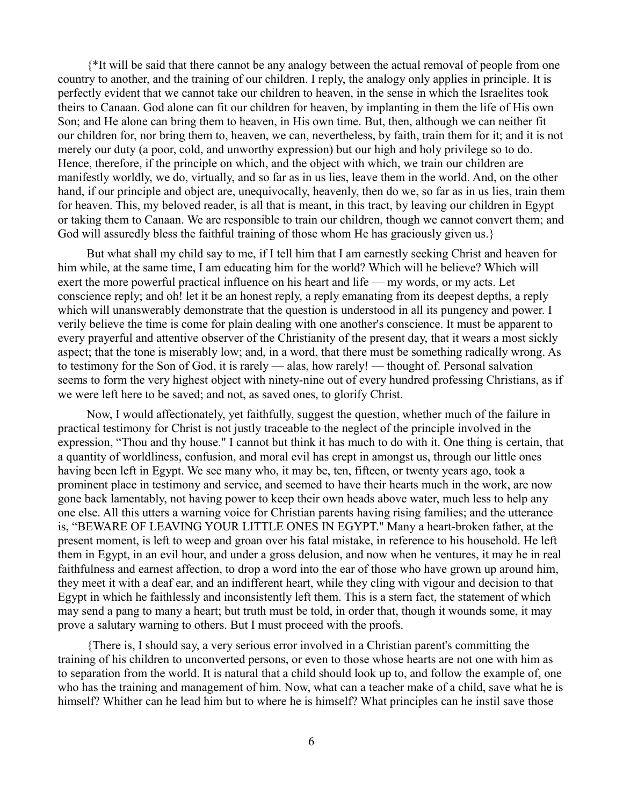{\*It will be said that there cannot be any analogy between the actual removal of people from one country to another, and the training of our children. I reply, the analogy only applies in principle. It is perfectly evident that we cannot take our children to heaven, in the sense in which the Israelites took theirs to Canaan. God alone can fit our children for heaven, by implanting in them the life of His own Son; and He alone can bring them to heaven, in His own time. But, then, although we can neither fit our children for, nor bring them to, heaven, we can, nevertheless, by faith, train them for it; and it is not merely our duty (a poor, cold, and unworthy expression) but our high and holy privilege so to do. Hence, therefore, if the principle on which, and the object with which, we train our children are manifestly worldly, we do, virtually, and so far as in us lies, leave them in the world. And, on the other hand, if our principle and object are, unequivocally, heavenly, then do we, so far as in us lies, train them for heaven. This, my beloved reader, is all that is meant, in this tract, by leaving our children in Egypt or taking them to Canaan. We are responsible to train our children, though we cannot convert them; and God will assuredly bless the faithful training of those whom He has graciously given us.}

But what shall my child say to me, if I tell him that I am earnestly seeking Christ and heaven for him while, at the same time, I am educating him for the world? Which will he believe? Which will exert the more powerful practical influence on his heart and life — my words, or my acts. Let conscience reply; and oh! let it be an honest reply, a reply emanating from its deepest depths, a reply which will unanswerably demonstrate that the question is understood in all its pungency and power. I verily believe the time is come for plain dealing with one another's conscience. It must be apparent to every prayerful and attentive observer of the Christianity of the present day, that it wears a most sickly aspect; that the tone is miserably low; and, in a word, that there must be something radically wrong. As to testimony for the Son of God, it is rarely — alas, how rarely! — thought of. Personal salvation seems to form the very highest object with ninety-nine out of every hundred professing Christians, as if we were left here to be saved; and not, as saved ones, to glorify Christ.

Now, I would affectionately, yet faithfully, suggest the question, whether much of the failure in practical testimony for Christ is not justly traceable to the neglect of the principle involved in the expression, "Thou and thy house." I cannot but think it has much to do with it. One thing is certain, that a quantity of worldliness, confusion, and moral evil has crept in amongst us, through our little ones having been left in Egypt. We see many who, it may be, ten, fifteen, or twenty years ago, took a prominent place in testimony and service, and seemed to have their hearts much in the work, are now gone back lamentably, not having power to keep their own heads above water, much less to help any one else. All this utters a warning voice for Christian parents having rising families; and the utterance is, "BEWARE OF LEAVING YOUR LITTLE ONES IN EGYPT." Many a heart-broken father, at the present moment, is left to weep and groan over his fatal mistake, in reference to his household. He left them in Egypt, in an evil hour, and under a gross delusion, and now when he ventures, it may he in real faithfulness and earnest affection, to drop a word into the ear of those who have grown up around him, they meet it with a deaf ear, and an indifferent heart, while they cling with vigour and decision to that Egypt in which he faithlessly and inconsistently left them. This is a stern fact, the statement of which may send a pang to many a heart; but truth must be told, in order that, though it wounds some, it may prove a salutary warning to others. But I must proceed with the proofs.

{There is, I should say, a very serious error involved in a Christian parent's committing the training of his children to unconverted persons, or even to those whose hearts are not one with him as to separation from the world. It is natural that a child should look up to, and follow the example of, one who has the training and management of him. Now, what can a teacher make of a child, save what he is himself? Whither can he lead him but to where he is himself? What principles can he instil save those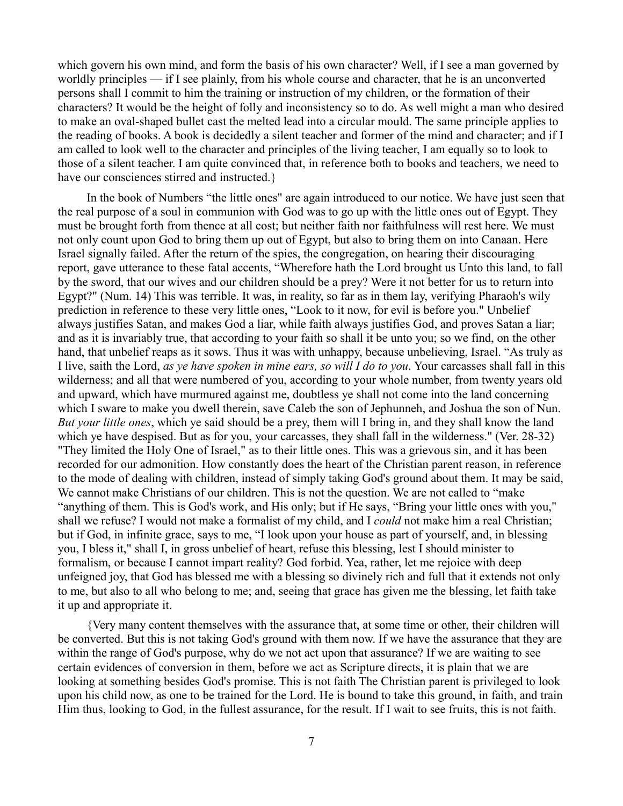which govern his own mind, and form the basis of his own character? Well, if I see a man governed by worldly principles — if I see plainly, from his whole course and character, that he is an unconverted persons shall I commit to him the training or instruction of my children, or the formation of their characters? It would be the height of folly and inconsistency so to do. As well might a man who desired to make an oval-shaped bullet cast the melted lead into a circular mould. The same principle applies to the reading of books. A book is decidedly a silent teacher and former of the mind and character; and if I am called to look well to the character and principles of the living teacher, I am equally so to look to those of a silent teacher. I am quite convinced that, in reference both to books and teachers, we need to have our consciences stirred and instructed.

In the book of Numbers "the little ones" are again introduced to our notice. We have just seen that the real purpose of a soul in communion with God was to go up with the little ones out of Egypt. They must be brought forth from thence at all cost; but neither faith nor faithfulness will rest here. We must not only count upon God to bring them up out of Egypt, but also to bring them on into Canaan. Here Israel signally failed. After the return of the spies, the congregation, on hearing their discouraging report, gave utterance to these fatal accents, "Wherefore hath the Lord brought us Unto this land, to fall by the sword, that our wives and our children should be a prey? Were it not better for us to return into Egypt?" (Num. 14) This was terrible. It was, in reality, so far as in them lay, verifying Pharaoh's wily prediction in reference to these very little ones, "Look to it now, for evil is before you." Unbelief always justifies Satan, and makes God a liar, while faith always justifies God, and proves Satan a liar; and as it is invariably true, that according to your faith so shall it be unto you; so we find, on the other hand, that unbelief reaps as it sows. Thus it was with unhappy, because unbelieving, Israel. "As truly as I live, saith the Lord, *as ye have spoken in mine ears, so will I do to you*. Your carcasses shall fall in this wilderness; and all that were numbered of you, according to your whole number, from twenty years old and upward, which have murmured against me, doubtless ye shall not come into the land concerning which I sware to make you dwell therein, save Caleb the son of Jephunneh, and Joshua the son of Nun. *But your little ones*, which ye said should be a prey, them will I bring in, and they shall know the land which ye have despised. But as for you, your carcasses, they shall fall in the wilderness." (Ver. 28-32) "They limited the Holy One of Israel," as to their little ones. This was a grievous sin, and it has been recorded for our admonition. How constantly does the heart of the Christian parent reason, in reference to the mode of dealing with children, instead of simply taking God's ground about them. It may be said, We cannot make Christians of our children. This is not the question. We are not called to "make "anything of them. This is God's work, and His only; but if He says, "Bring your little ones with you," shall we refuse? I would not make a formalist of my child, and I *could* not make him a real Christian; but if God, in infinite grace, says to me, "I look upon your house as part of yourself, and, in blessing you, I bless it," shall I, in gross unbelief of heart, refuse this blessing, lest I should minister to formalism, or because I cannot impart reality? God forbid. Yea, rather, let me rejoice with deep unfeigned joy, that God has blessed me with a blessing so divinely rich and full that it extends not only to me, but also to all who belong to me; and, seeing that grace has given me the blessing, let faith take it up and appropriate it.

{Very many content themselves with the assurance that, at some time or other, their children will be converted. But this is not taking God's ground with them now. If we have the assurance that they are within the range of God's purpose, why do we not act upon that assurance? If we are waiting to see certain evidences of conversion in them, before we act as Scripture directs, it is plain that we are looking at something besides God's promise. This is not faith The Christian parent is privileged to look upon his child now, as one to be trained for the Lord. He is bound to take this ground, in faith, and train Him thus, looking to God, in the fullest assurance, for the result. If I wait to see fruits, this is not faith.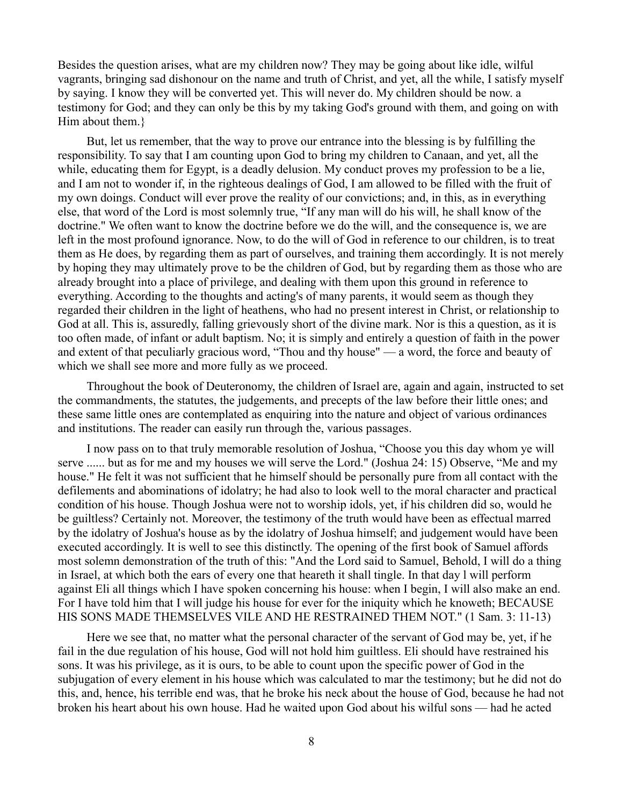Besides the question arises, what are my children now? They may be going about like idle, wilful vagrants, bringing sad dishonour on the name and truth of Christ, and yet, all the while, I satisfy myself by saying. I know they will be converted yet. This will never do. My children should be now. a testimony for God; and they can only be this by my taking God's ground with them, and going on with Him about them.}

But, let us remember, that the way to prove our entrance into the blessing is by fulfilling the responsibility. To say that I am counting upon God to bring my children to Canaan, and yet, all the while, educating them for Egypt, is a deadly delusion. My conduct proves my profession to be a lie, and I am not to wonder if, in the righteous dealings of God, I am allowed to be filled with the fruit of my own doings. Conduct will ever prove the reality of our convictions; and, in this, as in everything else, that word of the Lord is most solemnly true, "If any man will do his will, he shall know of the doctrine." We often want to know the doctrine before we do the will, and the consequence is, we are left in the most profound ignorance. Now, to do the will of God in reference to our children, is to treat them as He does, by regarding them as part of ourselves, and training them accordingly. It is not merely by hoping they may ultimately prove to be the children of God, but by regarding them as those who are already brought into a place of privilege, and dealing with them upon this ground in reference to everything. According to the thoughts and acting's of many parents, it would seem as though they regarded their children in the light of heathens, who had no present interest in Christ, or relationship to God at all. This is, assuredly, falling grievously short of the divine mark. Nor is this a question, as it is too often made, of infant or adult baptism. No; it is simply and entirely a question of faith in the power and extent of that peculiarly gracious word, "Thou and thy house" — a word, the force and beauty of which we shall see more and more fully as we proceed.

Throughout the book of Deuteronomy, the children of Israel are, again and again, instructed to set the commandments, the statutes, the judgements, and precepts of the law before their little ones; and these same little ones are contemplated as enquiring into the nature and object of various ordinances and institutions. The reader can easily run through the, various passages.

I now pass on to that truly memorable resolution of Joshua, "Choose you this day whom ye will serve ...... but as for me and my houses we will serve the Lord." (Joshua 24: 15) Observe, "Me and my house." He felt it was not sufficient that he himself should be personally pure from all contact with the defilements and abominations of idolatry; he had also to look well to the moral character and practical condition of his house. Though Joshua were not to worship idols, yet, if his children did so, would he be guiltless? Certainly not. Moreover, the testimony of the truth would have been as effectual marred by the idolatry of Joshua's house as by the idolatry of Joshua himself; and judgement would have been executed accordingly. It is well to see this distinctly. The opening of the first book of Samuel affords most solemn demonstration of the truth of this: "And the Lord said to Samuel, Behold, I will do a thing in Israel, at which both the ears of every one that heareth it shall tingle. In that day l will perform against Eli all things which I have spoken concerning his house: when I begin, I will also make an end. For I have told him that I will judge his house for ever for the iniquity which he knoweth; BECAUSE HIS SONS MADE THEMSELVES VILE AND HE RESTRAINED THEM NOT." (1 Sam. 3: 11-13)

Here we see that, no matter what the personal character of the servant of God may be, yet, if he fail in the due regulation of his house, God will not hold him guiltless. Eli should have restrained his sons. It was his privilege, as it is ours, to be able to count upon the specific power of God in the subjugation of every element in his house which was calculated to mar the testimony; but he did not do this, and, hence, his terrible end was, that he broke his neck about the house of God, because he had not broken his heart about his own house. Had he waited upon God about his wilful sons — had he acted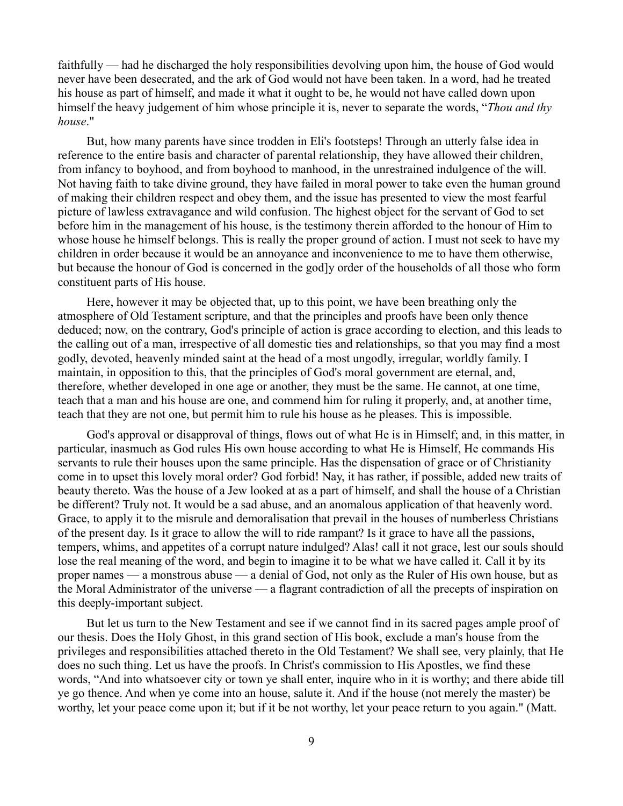faithfully — had he discharged the holy responsibilities devolving upon him, the house of God would never have been desecrated, and the ark of God would not have been taken. In a word, had he treated his house as part of himself, and made it what it ought to be, he would not have called down upon himself the heavy judgement of him whose principle it is, never to separate the words, "*Thou and thy house*."

But, how many parents have since trodden in Eli's footsteps! Through an utterly false idea in reference to the entire basis and character of parental relationship, they have allowed their children, from infancy to boyhood, and from boyhood to manhood, in the unrestrained indulgence of the will. Not having faith to take divine ground, they have failed in moral power to take even the human ground of making their children respect and obey them, and the issue has presented to view the most fearful picture of lawless extravagance and wild confusion. The highest object for the servant of God to set before him in the management of his house, is the testimony therein afforded to the honour of Him to whose house he himself belongs. This is really the proper ground of action. I must not seek to have my children in order because it would be an annoyance and inconvenience to me to have them otherwise, but because the honour of God is concerned in the god]y order of the households of all those who form constituent parts of His house.

Here, however it may be objected that, up to this point, we have been breathing only the atmosphere of Old Testament scripture, and that the principles and proofs have been only thence deduced; now, on the contrary, God's principle of action is grace according to election, and this leads to the calling out of a man, irrespective of all domestic ties and relationships, so that you may find a most godly, devoted, heavenly minded saint at the head of a most ungodly, irregular, worldly family. I maintain, in opposition to this, that the principles of God's moral government are eternal, and, therefore, whether developed in one age or another, they must be the same. He cannot, at one time, teach that a man and his house are one, and commend him for ruling it properly, and, at another time, teach that they are not one, but permit him to rule his house as he pleases. This is impossible.

God's approval or disapproval of things, flows out of what He is in Himself; and, in this matter, in particular, inasmuch as God rules His own house according to what He is Himself, He commands His servants to rule their houses upon the same principle. Has the dispensation of grace or of Christianity come in to upset this lovely moral order? God forbid! Nay, it has rather, if possible, added new traits of beauty thereto. Was the house of a Jew looked at as a part of himself, and shall the house of a Christian be different? Truly not. It would be a sad abuse, and an anomalous application of that heavenly word. Grace, to apply it to the misrule and demoralisation that prevail in the houses of numberless Christians of the present day. Is it grace to allow the will to ride rampant? Is it grace to have all the passions, tempers, whims, and appetites of a corrupt nature indulged? Alas! call it not grace, lest our souls should lose the real meaning of the word, and begin to imagine it to be what we have called it. Call it by its proper names — a monstrous abuse — a denial of God, not only as the Ruler of His own house, but as the Moral Administrator of the universe — a flagrant contradiction of all the precepts of inspiration on this deeply-important subject.

But let us turn to the New Testament and see if we cannot find in its sacred pages ample proof of our thesis. Does the Holy Ghost, in this grand section of His book, exclude a man's house from the privileges and responsibilities attached thereto in the Old Testament? We shall see, very plainly, that He does no such thing. Let us have the proofs. In Christ's commission to His Apostles, we find these words, "And into whatsoever city or town ye shall enter, inquire who in it is worthy; and there abide till ye go thence. And when ye come into an house, salute it. And if the house (not merely the master) be worthy, let your peace come upon it; but if it be not worthy, let your peace return to you again." (Matt.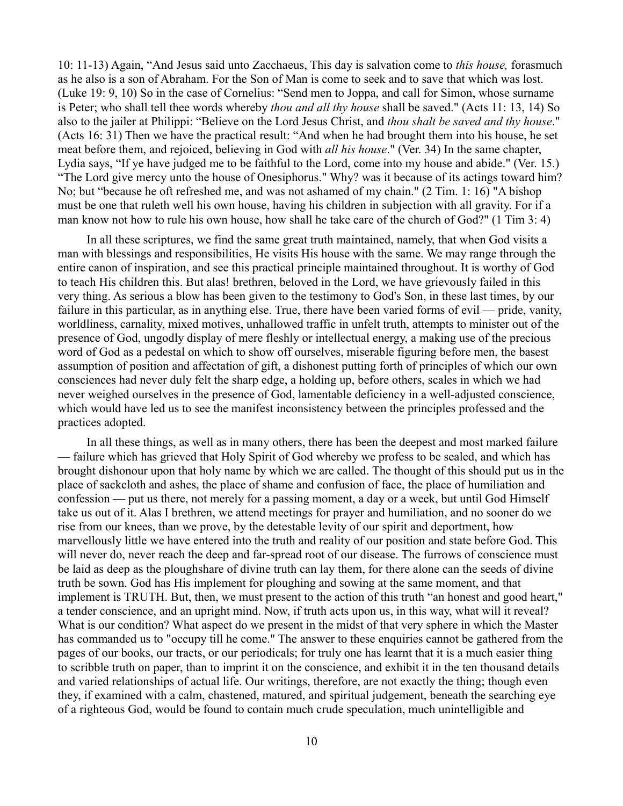10: 11-13) Again, "And Jesus said unto Zacchaeus, This day is salvation come to *this house,* forasmuch as he also is a son of Abraham. For the Son of Man is come to seek and to save that which was lost. (Luke 19: 9, 10) So in the case of Cornelius: "Send men to Joppa, and call for Simon, whose surname is Peter; who shall tell thee words whereby *thou and all thy house* shall be saved." (Acts 11: 13, 14) So also to the jailer at Philippi: "Believe on the Lord Jesus Christ, and *thou shalt be saved and thy house*." (Acts 16: 31) Then we have the practical result: "And when he had brought them into his house, he set meat before them, and rejoiced, believing in God with *all his house*." (Ver. 34) In the same chapter, Lydia says, "If ye have judged me to be faithful to the Lord, come into my house and abide." (Ver. 15.) "The Lord give mercy unto the house of Onesiphorus." Why? was it because of its actings toward him? No; but "because he oft refreshed me, and was not ashamed of my chain." (2 Tim. 1: 16) "A bishop must be one that ruleth well his own house, having his children in subjection with all gravity. For if a man know not how to rule his own house, how shall he take care of the church of God?" (1 Tim 3: 4)

In all these scriptures, we find the same great truth maintained, namely, that when God visits a man with blessings and responsibilities, He visits His house with the same. We may range through the entire canon of inspiration, and see this practical principle maintained throughout. It is worthy of God to teach His children this. But alas! brethren, beloved in the Lord, we have grievously failed in this very thing. As serious a blow has been given to the testimony to God's Son, in these last times, by our failure in this particular, as in anything else. True, there have been varied forms of evil — pride, vanity, worldliness, carnality, mixed motives, unhallowed traffic in unfelt truth, attempts to minister out of the presence of God, ungodly display of mere fleshly or intellectual energy, a making use of the precious word of God as a pedestal on which to show off ourselves, miserable figuring before men, the basest assumption of position and affectation of gift, a dishonest putting forth of principles of which our own consciences had never duly felt the sharp edge, a holding up, before others, scales in which we had never weighed ourselves in the presence of God, lamentable deficiency in a well-adjusted conscience, which would have led us to see the manifest inconsistency between the principles professed and the practices adopted.

In all these things, as well as in many others, there has been the deepest and most marked failure — failure which has grieved that Holy Spirit of God whereby we profess to be sealed, and which has brought dishonour upon that holy name by which we are called. The thought of this should put us in the place of sackcloth and ashes, the place of shame and confusion of face, the place of humiliation and confession — put us there, not merely for a passing moment, a day or a week, but until God Himself take us out of it. Alas I brethren, we attend meetings for prayer and humiliation, and no sooner do we rise from our knees, than we prove, by the detestable levity of our spirit and deportment, how marvellously little we have entered into the truth and reality of our position and state before God. This will never do, never reach the deep and far-spread root of our disease. The furrows of conscience must be laid as deep as the ploughshare of divine truth can lay them, for there alone can the seeds of divine truth be sown. God has His implement for ploughing and sowing at the same moment, and that implement is TRUTH. But, then, we must present to the action of this truth "an honest and good heart," a tender conscience, and an upright mind. Now, if truth acts upon us, in this way, what will it reveal? What is our condition? What aspect do we present in the midst of that very sphere in which the Master has commanded us to "occupy till he come." The answer to these enquiries cannot be gathered from the pages of our books, our tracts, or our periodicals; for truly one has learnt that it is a much easier thing to scribble truth on paper, than to imprint it on the conscience, and exhibit it in the ten thousand details and varied relationships of actual life. Our writings, therefore, are not exactly the thing; though even they, if examined with a calm, chastened, matured, and spiritual judgement, beneath the searching eye of a righteous God, would be found to contain much crude speculation, much unintelligible and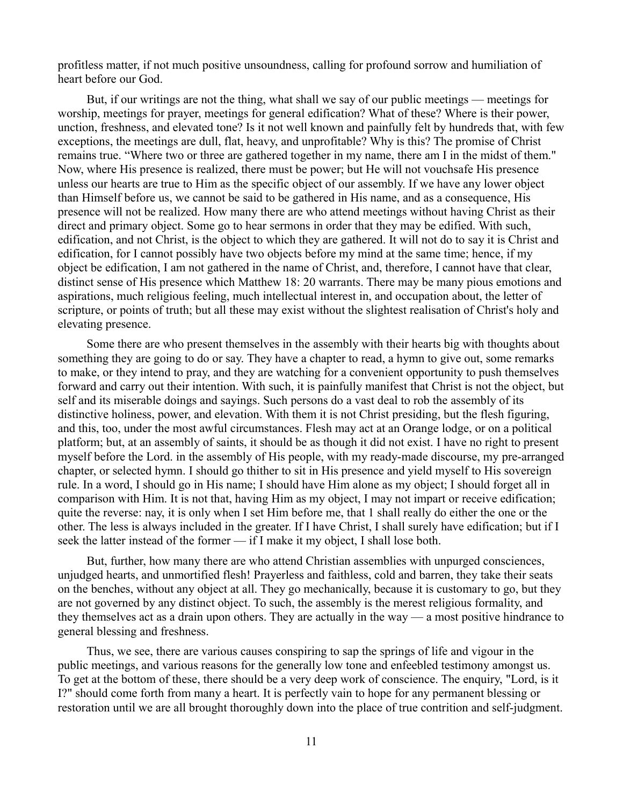profitless matter, if not much positive unsoundness, calling for profound sorrow and humiliation of heart before our God.

But, if our writings are not the thing, what shall we say of our public meetings — meetings for worship, meetings for prayer, meetings for general edification? What of these? Where is their power, unction, freshness, and elevated tone? Is it not well known and painfully felt by hundreds that, with few exceptions, the meetings are dull, flat, heavy, and unprofitable? Why is this? The promise of Christ remains true. "Where two or three are gathered together in my name, there am I in the midst of them." Now, where His presence is realized, there must be power; but He will not vouchsafe His presence unless our hearts are true to Him as the specific object of our assembly. If we have any lower object than Himself before us, we cannot be said to be gathered in His name, and as a consequence, His presence will not be realized. How many there are who attend meetings without having Christ as their direct and primary object. Some go to hear sermons in order that they may be edified. With such, edification, and not Christ, is the object to which they are gathered. It will not do to say it is Christ and edification, for I cannot possibly have two objects before my mind at the same time; hence, if my object be edification, I am not gathered in the name of Christ, and, therefore, I cannot have that clear, distinct sense of His presence which Matthew 18: 20 warrants. There may be many pious emotions and aspirations, much religious feeling, much intellectual interest in, and occupation about, the letter of scripture, or points of truth; but all these may exist without the slightest realisation of Christ's holy and elevating presence.

Some there are who present themselves in the assembly with their hearts big with thoughts about something they are going to do or say. They have a chapter to read, a hymn to give out, some remarks to make, or they intend to pray, and they are watching for a convenient opportunity to push themselves forward and carry out their intention. With such, it is painfully manifest that Christ is not the object, but self and its miserable doings and sayings. Such persons do a vast deal to rob the assembly of its distinctive holiness, power, and elevation. With them it is not Christ presiding, but the flesh figuring, and this, too, under the most awful circumstances. Flesh may act at an Orange lodge, or on a political platform; but, at an assembly of saints, it should be as though it did not exist. I have no right to present myself before the Lord. in the assembly of His people, with my ready-made discourse, my pre-arranged chapter, or selected hymn. I should go thither to sit in His presence and yield myself to His sovereign rule. In a word, I should go in His name; I should have Him alone as my object; I should forget all in comparison with Him. It is not that, having Him as my object, I may not impart or receive edification; quite the reverse: nay, it is only when I set Him before me, that 1 shall really do either the one or the other. The less is always included in the greater. If I have Christ, I shall surely have edification; but if I seek the latter instead of the former — if I make it my object, I shall lose both.

But, further, how many there are who attend Christian assemblies with unpurged consciences, unjudged hearts, and unmortified flesh! Prayerless and faithless, cold and barren, they take their seats on the benches, without any object at all. They go mechanically, because it is customary to go, but they are not governed by any distinct object. To such, the assembly is the merest religious formality, and they themselves act as a drain upon others. They are actually in the way — a most positive hindrance to general blessing and freshness.

Thus, we see, there are various causes conspiring to sap the springs of life and vigour in the public meetings, and various reasons for the generally low tone and enfeebled testimony amongst us. To get at the bottom of these, there should be a very deep work of conscience. The enquiry, "Lord, is it I?" should come forth from many a heart. It is perfectly vain to hope for any permanent blessing or restoration until we are all brought thoroughly down into the place of true contrition and self-judgment.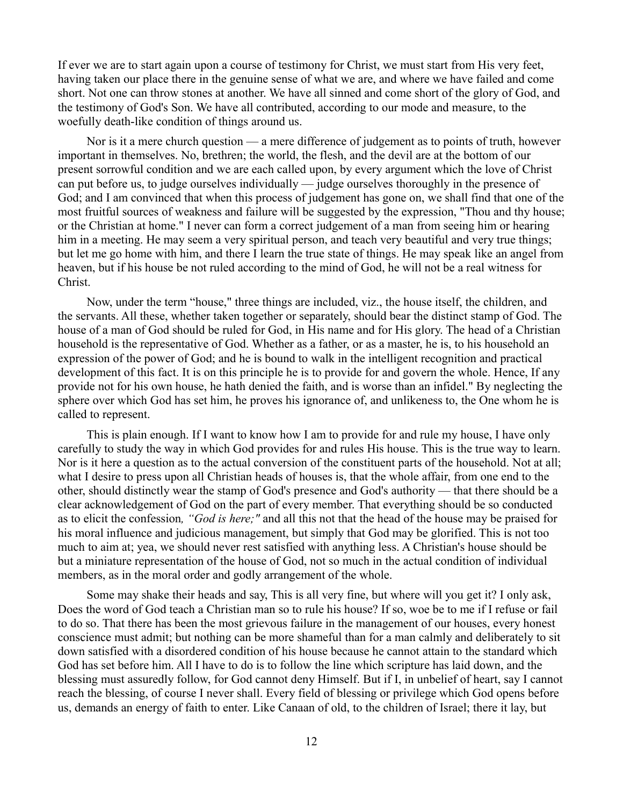If ever we are to start again upon a course of testimony for Christ, we must start from His very feet, having taken our place there in the genuine sense of what we are, and where we have failed and come short. Not one can throw stones at another. We have all sinned and come short of the glory of God, and the testimony of God's Son. We have all contributed, according to our mode and measure, to the woefully death-like condition of things around us.

Nor is it a mere church question — a mere difference of judgement as to points of truth, however important in themselves. No, brethren; the world, the flesh, and the devil are at the bottom of our present sorrowful condition and we are each called upon, by every argument which the love of Christ can put before us, to judge ourselves individually — judge ourselves thoroughly in the presence of God; and I am convinced that when this process of judgement has gone on, we shall find that one of the most fruitful sources of weakness and failure will be suggested by the expression, "Thou and thy house; or the Christian at home." I never can form a correct judgement of a man from seeing him or hearing him in a meeting. He may seem a very spiritual person, and teach very beautiful and very true things; but let me go home with him, and there I learn the true state of things. He may speak like an angel from heaven, but if his house be not ruled according to the mind of God, he will not be a real witness for Christ.

Now, under the term "house," three things are included, viz., the house itself, the children, and the servants. All these, whether taken together or separately, should bear the distinct stamp of God. The house of a man of God should be ruled for God, in His name and for His glory. The head of a Christian household is the representative of God. Whether as a father, or as a master, he is, to his household an expression of the power of God; and he is bound to walk in the intelligent recognition and practical development of this fact. It is on this principle he is to provide for and govern the whole. Hence, If any provide not for his own house, he hath denied the faith, and is worse than an infidel." By neglecting the sphere over which God has set him, he proves his ignorance of, and unlikeness to, the One whom he is called to represent.

This is plain enough. If I want to know how I am to provide for and rule my house, I have only carefully to study the way in which God provides for and rules His house. This is the true way to learn. Nor is it here a question as to the actual conversion of the constituent parts of the household. Not at all; what I desire to press upon all Christian heads of houses is, that the whole affair, from one end to the other, should distinctly wear the stamp of God's presence and God's authority — that there should be a clear acknowledgement of God on the part of every member. That everything should be so conducted as to elicit the confession*, "God is here;"* and all this not that the head of the house may be praised for his moral influence and judicious management, but simply that God may be glorified. This is not too much to aim at; yea, we should never rest satisfied with anything less. A Christian's house should be but a miniature representation of the house of God, not so much in the actual condition of individual members, as in the moral order and godly arrangement of the whole.

Some may shake their heads and say, This is all very fine, but where will you get it? I only ask, Does the word of God teach a Christian man so to rule his house? If so, woe be to me if I refuse or fail to do so. That there has been the most grievous failure in the management of our houses, every honest conscience must admit; but nothing can be more shameful than for a man calmly and deliberately to sit down satisfied with a disordered condition of his house because he cannot attain to the standard which God has set before him. All I have to do is to follow the line which scripture has laid down, and the blessing must assuredly follow, for God cannot deny Himself. But if I, in unbelief of heart, say I cannot reach the blessing, of course I never shall. Every field of blessing or privilege which God opens before us, demands an energy of faith to enter. Like Canaan of old, to the children of Israel; there it lay, but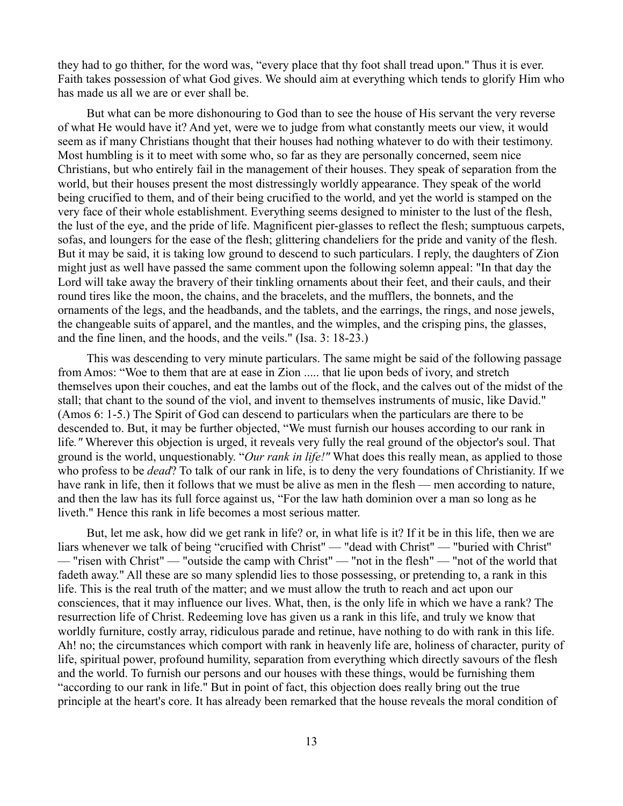they had to go thither, for the word was, "every place that thy foot shall tread upon." Thus it is ever. Faith takes possession of what God gives. We should aim at everything which tends to glorify Him who has made us all we are or ever shall be.

But what can be more dishonouring to God than to see the house of His servant the very reverse of what He would have it? And yet, were we to judge from what constantly meets our view, it would seem as if many Christians thought that their houses had nothing whatever to do with their testimony. Most humbling is it to meet with some who, so far as they are personally concerned, seem nice Christians, but who entirely fail in the management of their houses. They speak of separation from the world, but their houses present the most distressingly worldly appearance. They speak of the world being crucified to them, and of their being crucified to the world, and yet the world is stamped on the very face of their whole establishment. Everything seems designed to minister to the lust of the flesh, the lust of the eye, and the pride of life. Magnificent pier-glasses to reflect the flesh; sumptuous carpets, sofas, and loungers for the ease of the flesh; glittering chandeliers for the pride and vanity of the flesh. But it may be said, it is taking low ground to descend to such particulars. I reply, the daughters of Zion might just as well have passed the same comment upon the following solemn appeal: "In that day the Lord will take away the bravery of their tinkling ornaments about their feet, and their cauls, and their round tires like the moon, the chains, and the bracelets, and the mufflers, the bonnets, and the ornaments of the legs, and the headbands, and the tablets, and the earrings, the rings, and nose jewels, the changeable suits of apparel, and the mantles, and the wimples, and the crisping pins, the glasses, and the fine linen, and the hoods, and the veils." (Isa. 3: 18-23.)

This was descending to very minute particulars. The same might be said of the following passage from Amos: "Woe to them that are at ease in Zion ..... that lie upon beds of ivory, and stretch themselves upon their couches, and eat the lambs out of the flock, and the calves out of the midst of the stall; that chant to the sound of the viol, and invent to themselves instruments of music, like David." (Amos 6: 1-5.) The Spirit of God can descend to particulars when the particulars are there to be descended to. But, it may be further objected, "We must furnish our houses according to our rank in life*."* Wherever this objection is urged, it reveals very fully the real ground of the objector's soul. That ground is the world, unquestionably. "*Our rank in life!"* What does this really mean, as applied to those who profess to be *dead*? To talk of our rank in life, is to deny the very foundations of Christianity. If we have rank in life, then it follows that we must be alive as men in the flesh — men according to nature, and then the law has its full force against us, "For the law hath dominion over a man so long as he liveth." Hence this rank in life becomes a most serious matter.

But, let me ask, how did we get rank in life? or, in what life is it? If it be in this life, then we are liars whenever we talk of being "crucified with Christ" — "dead with Christ" — "buried with Christ'' — "risen with Christ" — "outside the camp with Christ" — "not in the flesh" — "not of the world that fadeth away." All these are so many splendid lies to those possessing, or pretending to, a rank in this life. This is the real truth of the matter; and we must allow the truth to reach and act upon our consciences, that it may influence our lives. What, then, is the only life in which we have a rank? The resurrection life of Christ. Redeeming love has given us a rank in this life, and truly we know that worldly furniture, costly array, ridiculous parade and retinue, have nothing to do with rank in this life. Ah! no; the circumstances which comport with rank in heavenly life are, holiness of character, purity of life, spiritual power, profound humility, separation from everything which directly savours of the flesh and the world. To furnish our persons and our houses with these things, would be furnishing them "according to our rank in life." But in point of fact, this objection does really bring out the true principle at the heart's core. It has already been remarked that the house reveals the moral condition of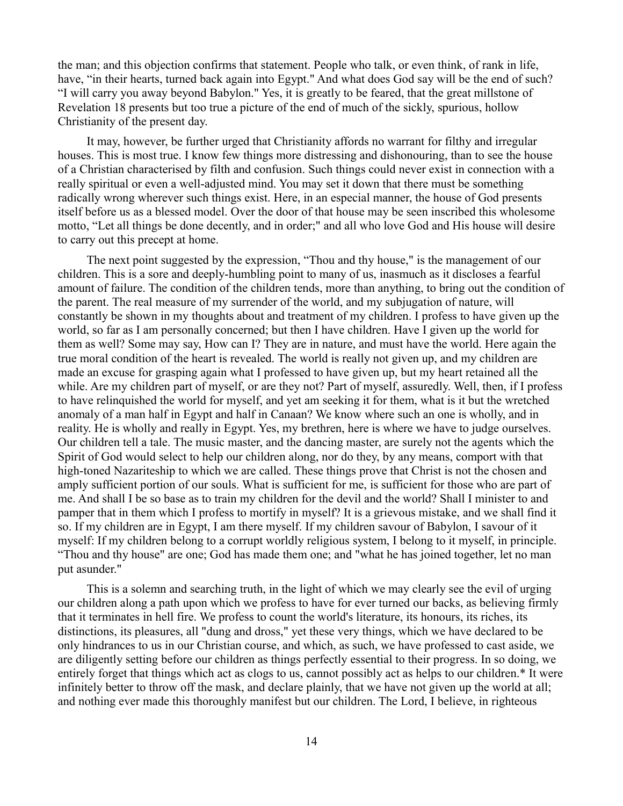the man; and this objection confirms that statement. People who talk, or even think, of rank in life, have, "in their hearts, turned back again into Egypt." And what does God say will be the end of such? "I will carry you away beyond Babylon." Yes, it is greatly to be feared, that the great millstone of Revelation 18 presents but too true a picture of the end of much of the sickly, spurious, hollow Christianity of the present day.

It may, however, be further urged that Christianity affords no warrant for filthy and irregular houses. This is most true. I know few things more distressing and dishonouring, than to see the house of a Christian characterised by filth and confusion. Such things could never exist in connection with a really spiritual or even a well-adjusted mind. You may set it down that there must be something radically wrong wherever such things exist. Here, in an especial manner, the house of God presents itself before us as a blessed model. Over the door of that house may be seen inscribed this wholesome motto, "Let all things be done decently, and in order;" and all who love God and His house will desire to carry out this precept at home.

The next point suggested by the expression, "Thou and thy house," is the management of our children. This is a sore and deeply-humbling point to many of us, inasmuch as it discloses a fearful amount of failure. The condition of the children tends, more than anything, to bring out the condition of the parent. The real measure of my surrender of the world, and my subjugation of nature, will constantly be shown in my thoughts about and treatment of my children. I profess to have given up the world, so far as I am personally concerned; but then I have children. Have I given up the world for them as well? Some may say, How can I? They are in nature, and must have the world. Here again the true moral condition of the heart is revealed. The world is really not given up, and my children are made an excuse for grasping again what I professed to have given up, but my heart retained all the while. Are my children part of myself, or are they not? Part of myself, assuredly. Well, then, if I profess to have relinquished the world for myself, and yet am seeking it for them, what is it but the wretched anomaly of a man half in Egypt and half in Canaan? We know where such an one is wholly, and in reality. He is wholly and really in Egypt. Yes, my brethren, here is where we have to judge ourselves. Our children tell a tale. The music master, and the dancing master, are surely not the agents which the Spirit of God would select to help our children along, nor do they, by any means, comport with that high-toned Nazariteship to which we are called. These things prove that Christ is not the chosen and amply sufficient portion of our souls. What is sufficient for me, is sufficient for those who are part of me. And shall I be so base as to train my children for the devil and the world? Shall I minister to and pamper that in them which I profess to mortify in myself? It is a grievous mistake, and we shall find it so. If my children are in Egypt, I am there myself. If my children savour of Babylon, I savour of it myself: If my children belong to a corrupt worldly religious system, I belong to it myself, in principle. "Thou and thy house" are one; God has made them one; and "what he has joined together, let no man put asunder."

This is a solemn and searching truth, in the light of which we may clearly see the evil of urging our children along a path upon which we profess to have for ever turned our backs, as believing firmly that it terminates in hell fire. We profess to count the world's literature, its honours, its riches, its distinctions, its pleasures, all "dung and dross," yet these very things, which we have declared to be only hindrances to us in our Christian course, and which, as such, we have professed to cast aside, we are diligently setting before our children as things perfectly essential to their progress. In so doing, we entirely forget that things which act as clogs to us, cannot possibly act as helps to our children.\* It were infinitely better to throw off the mask, and declare plainly, that we have not given up the world at all; and nothing ever made this thoroughly manifest but our children. The Lord, I believe, in righteous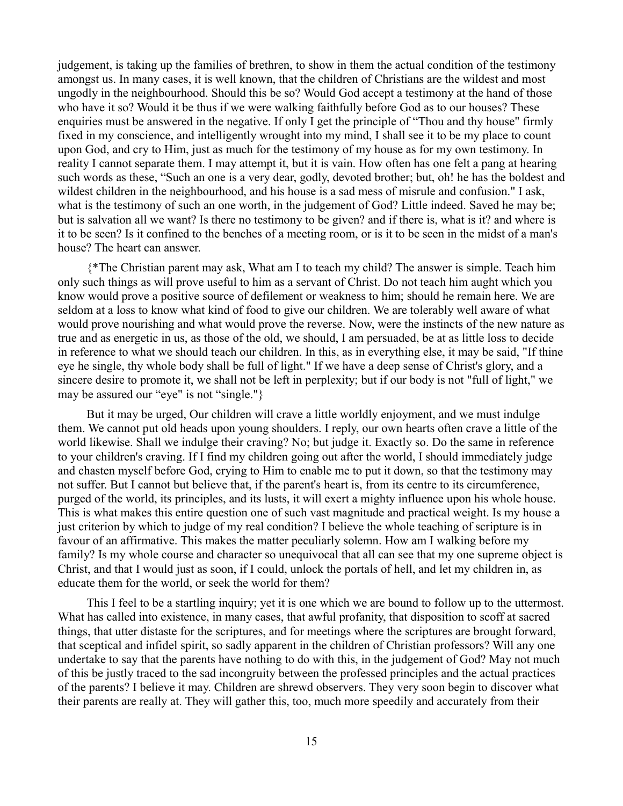judgement, is taking up the families of brethren, to show in them the actual condition of the testimony amongst us. In many cases, it is well known, that the children of Christians are the wildest and most ungodly in the neighbourhood. Should this be so? Would God accept a testimony at the hand of those who have it so? Would it be thus if we were walking faithfully before God as to our houses? These enquiries must be answered in the negative. If only I get the principle of "Thou and thy house" firmly fixed in my conscience, and intelligently wrought into my mind, I shall see it to be my place to count upon God, and cry to Him, just as much for the testimony of my house as for my own testimony. In reality I cannot separate them. I may attempt it, but it is vain. How often has one felt a pang at hearing such words as these, "Such an one is a very dear, godly, devoted brother; but, oh! he has the boldest and wildest children in the neighbourhood, and his house is a sad mess of misrule and confusion." I ask, what is the testimony of such an one worth, in the judgement of God? Little indeed. Saved he may be; but is salvation all we want? Is there no testimony to be given? and if there is, what is it? and where is it to be seen? Is it confined to the benches of a meeting room, or is it to be seen in the midst of a man's house? The heart can answer.

{\*The Christian parent may ask, What am I to teach my child? The answer is simple. Teach him only such things as will prove useful to him as a servant of Christ. Do not teach him aught which you know would prove a positive source of defilement or weakness to him; should he remain here. We are seldom at a loss to know what kind of food to give our children. We are tolerably well aware of what would prove nourishing and what would prove the reverse. Now, were the instincts of the new nature as true and as energetic in us, as those of the old, we should, I am persuaded, be at as little loss to decide in reference to what we should teach our children. In this, as in everything else, it may be said, "If thine eye he single, thy whole body shall be full of light." If we have a deep sense of Christ's glory, and a sincere desire to promote it, we shall not be left in perplexity; but if our body is not "full of light," we may be assured our "eye" is not "single."}

But it may be urged, Our children will crave a little worldly enjoyment, and we must indulge them. We cannot put old heads upon young shoulders. I reply, our own hearts often crave a little of the world likewise. Shall we indulge their craving? No; but judge it. Exactly so. Do the same in reference to your children's craving. If I find my children going out after the world, I should immediately judge and chasten myself before God, crying to Him to enable me to put it down, so that the testimony may not suffer. But I cannot but believe that, if the parent's heart is, from its centre to its circumference, purged of the world, its principles, and its lusts, it will exert a mighty influence upon his whole house. This is what makes this entire question one of such vast magnitude and practical weight. Is my house a just criterion by which to judge of my real condition? I believe the whole teaching of scripture is in favour of an affirmative. This makes the matter peculiarly solemn. How am I walking before my family? Is my whole course and character so unequivocal that all can see that my one supreme object is Christ, and that I would just as soon, if I could, unlock the portals of hell, and let my children in, as educate them for the world, or seek the world for them?

This I feel to be a startling inquiry; yet it is one which we are bound to follow up to the uttermost. What has called into existence, in many cases, that awful profanity, that disposition to scoff at sacred things, that utter distaste for the scriptures, and for meetings where the scriptures are brought forward, that sceptical and infidel spirit, so sadly apparent in the children of Christian professors? Will any one undertake to say that the parents have nothing to do with this, in the judgement of God? May not much of this be justly traced to the sad incongruity between the professed principles and the actual practices of the parents? I believe it may. Children are shrewd observers. They very soon begin to discover what their parents are really at. They will gather this, too, much more speedily and accurately from their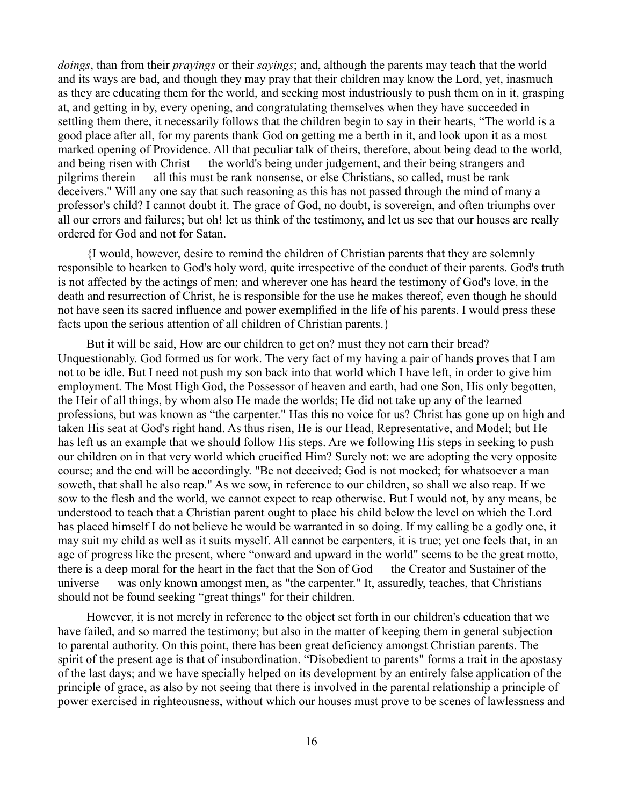*doings*, than from their *prayings* or their *sayings*; and, although the parents may teach that the world and its ways are bad, and though they may pray that their children may know the Lord, yet, inasmuch as they are educating them for the world, and seeking most industriously to push them on in it, grasping at, and getting in by, every opening, and congratulating themselves when they have succeeded in settling them there, it necessarily follows that the children begin to say in their hearts, "The world is a good place after all, for my parents thank God on getting me a berth in it, and look upon it as a most marked opening of Providence. All that peculiar talk of theirs, therefore, about being dead to the world, and being risen with Christ — the world's being under judgement, and their being strangers and pilgrims therein — all this must be rank nonsense, or else Christians, so called, must be rank deceivers." Will any one say that such reasoning as this has not passed through the mind of many a professor's child? I cannot doubt it. The grace of God, no doubt, is sovereign, and often triumphs over all our errors and failures; but oh! let us think of the testimony, and let us see that our houses are really ordered for God and not for Satan.

{I would, however, desire to remind the children of Christian parents that they are solemnly responsible to hearken to God's holy word, quite irrespective of the conduct of their parents. God's truth is not affected by the actings of men; and wherever one has heard the testimony of God's love, in the death and resurrection of Christ, he is responsible for the use he makes thereof, even though he should not have seen its sacred influence and power exemplified in the life of his parents. I would press these facts upon the serious attention of all children of Christian parents.}

But it will be said, How are our children to get on? must they not earn their bread? Unquestionably. God formed us for work. The very fact of my having a pair of hands proves that I am not to be idle. But I need not push my son back into that world which I have left, in order to give him employment. The Most High God, the Possessor of heaven and earth, had one Son, His only begotten, the Heir of all things, by whom also He made the worlds; He did not take up any of the learned professions, but was known as "the carpenter." Has this no voice for us? Christ has gone up on high and taken His seat at God's right hand. As thus risen, He is our Head, Representative, and Model; but He has left us an example that we should follow His steps. Are we following His steps in seeking to push our children on in that very world which crucified Him? Surely not: we are adopting the very opposite course; and the end will be accordingly. "Be not deceived; God is not mocked; for whatsoever a man soweth, that shall he also reap." As we sow, in reference to our children, so shall we also reap. If we sow to the flesh and the world, we cannot expect to reap otherwise. But I would not, by any means, be understood to teach that a Christian parent ought to place his child below the level on which the Lord has placed himself I do not believe he would be warranted in so doing. If my calling be a godly one, it may suit my child as well as it suits myself. All cannot be carpenters, it is true; yet one feels that, in an age of progress like the present, where "onward and upward in the world" seems to be the great motto, there is a deep moral for the heart in the fact that the Son of God — the Creator and Sustainer of the universe — was only known amongst men, as "the carpenter." It, assuredly, teaches, that Christians should not be found seeking "great things" for their children.

However, it is not merely in reference to the object set forth in our children's education that we have failed, and so marred the testimony; but also in the matter of keeping them in general subjection to parental authority. On this point, there has been great deficiency amongst Christian parents. The spirit of the present age is that of insubordination. "Disobedient to parents" forms a trait in the apostasy of the last days; and we have specially helped on its development by an entirely false application of the principle of grace, as also by not seeing that there is involved in the parental relationship a principle of power exercised in righteousness, without which our houses must prove to be scenes of lawlessness and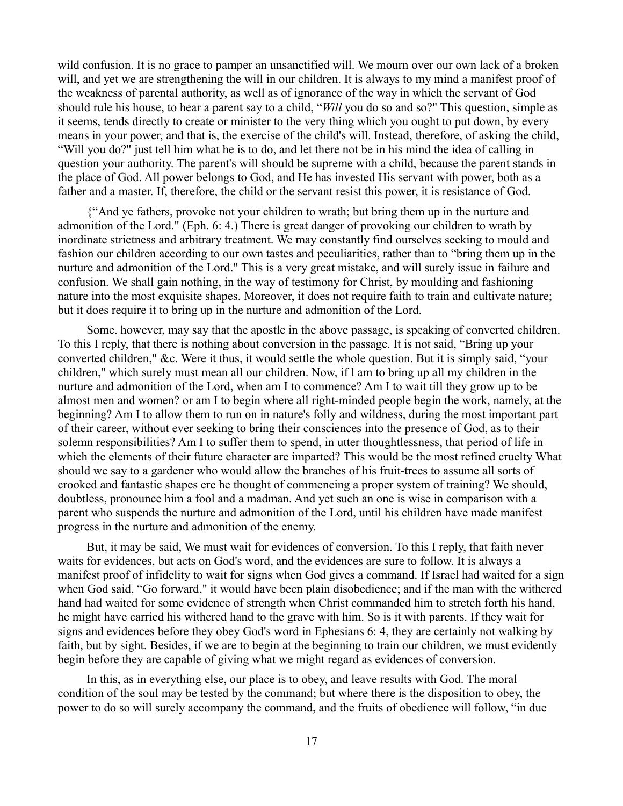wild confusion. It is no grace to pamper an unsanctified will. We mourn over our own lack of a broken will, and yet we are strengthening the will in our children. It is always to my mind a manifest proof of the weakness of parental authority, as well as of ignorance of the way in which the servant of God should rule his house, to hear a parent say to a child, "*Will* you do so and so?" This question, simple as it seems, tends directly to create or minister to the very thing which you ought to put down, by every means in your power, and that is, the exercise of the child's will. Instead, therefore, of asking the child, "Will you do?" just tell him what he is to do, and let there not be in his mind the idea of calling in question your authority. The parent's will should be supreme with a child, because the parent stands in the place of God. All power belongs to God, and He has invested His servant with power, both as a father and a master. If, therefore, the child or the servant resist this power, it is resistance of God.

{"And ye fathers, provoke not your children to wrath; but bring them up in the nurture and admonition of the Lord." (Eph. 6: 4.) There is great danger of provoking our children to wrath by inordinate strictness and arbitrary treatment. We may constantly find ourselves seeking to mould and fashion our children according to our own tastes and peculiarities, rather than to "bring them up in the nurture and admonition of the Lord." This is a very great mistake, and will surely issue in failure and confusion. We shall gain nothing, in the way of testimony for Christ, by moulding and fashioning nature into the most exquisite shapes. Moreover, it does not require faith to train and cultivate nature; but it does require it to bring up in the nurture and admonition of the Lord.

Some. however, may say that the apostle in the above passage, is speaking of converted children. To this I reply, that there is nothing about conversion in the passage. It is not said, "Bring up your converted children," &c. Were it thus, it would settle the whole question. But it is simply said, "your children," which surely must mean all our children. Now, if l am to bring up all my children in the nurture and admonition of the Lord, when am I to commence? Am I to wait till they grow up to be almost men and women? or am I to begin where all right-minded people begin the work, namely, at the beginning? Am I to allow them to run on in nature's folly and wildness, during the most important part of their career, without ever seeking to bring their consciences into the presence of God, as to their solemn responsibilities? Am I to suffer them to spend, in utter thoughtlessness, that period of life in which the elements of their future character are imparted? This would be the most refined cruelty What should we say to a gardener who would allow the branches of his fruit-trees to assume all sorts of crooked and fantastic shapes ere he thought of commencing a proper system of training? We should, doubtless, pronounce him a fool and a madman. And yet such an one is wise in comparison with a parent who suspends the nurture and admonition of the Lord, until his children have made manifest progress in the nurture and admonition of the enemy.

But, it may be said, We must wait for evidences of conversion. To this I reply, that faith never waits for evidences, but acts on God's word, and the evidences are sure to follow. It is always a manifest proof of infidelity to wait for signs when God gives a command. If Israel had waited for a sign when God said, "Go forward," it would have been plain disobedience; and if the man with the withered hand had waited for some evidence of strength when Christ commanded him to stretch forth his hand, he might have carried his withered hand to the grave with him. So is it with parents. If they wait for signs and evidences before they obey God's word in Ephesians 6: 4, they are certainly not walking by faith, but by sight. Besides, if we are to begin at the beginning to train our children, we must evidently begin before they are capable of giving what we might regard as evidences of conversion.

In this, as in everything else, our place is to obey, and leave results with God. The moral condition of the soul may be tested by the command; but where there is the disposition to obey, the power to do so will surely accompany the command, and the fruits of obedience will follow, "in due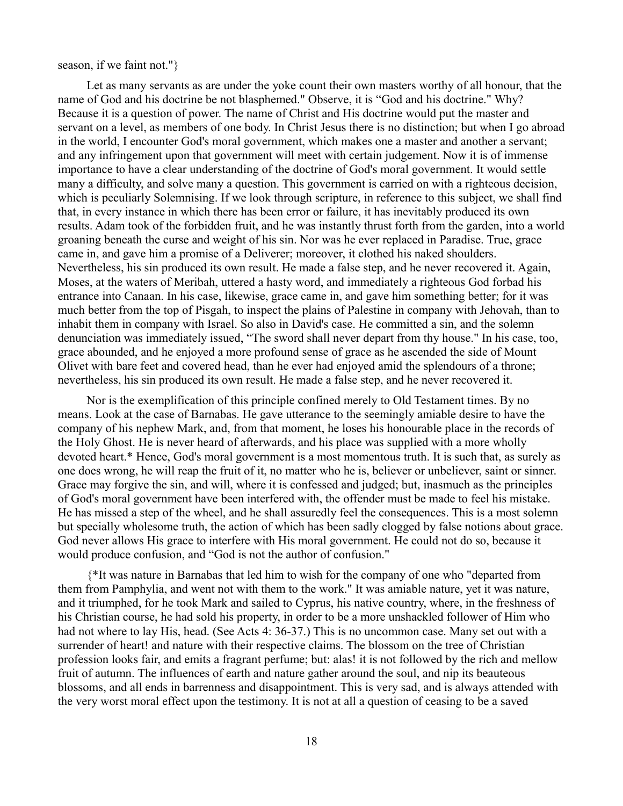### season, if we faint not."}

Let as many servants as are under the yoke count their own masters worthy of all honour, that the name of God and his doctrine be not blasphemed." Observe, it is "God and his doctrine." Why? Because it is a question of power. The name of Christ and His doctrine would put the master and servant on a level, as members of one body. In Christ Jesus there is no distinction; but when I go abroad in the world, I encounter God's moral government, which makes one a master and another a servant; and any infringement upon that government will meet with certain judgement. Now it is of immense importance to have a clear understanding of the doctrine of God's moral government. It would settle many a difficulty, and solve many a question. This government is carried on with a righteous decision, which is peculiarly Solemnising. If we look through scripture, in reference to this subject, we shall find that, in every instance in which there has been error or failure, it has inevitably produced its own results. Adam took of the forbidden fruit, and he was instantly thrust forth from the garden, into a world groaning beneath the curse and weight of his sin. Nor was he ever replaced in Paradise. True, grace came in, and gave him a promise of a Deliverer; moreover, it clothed his naked shoulders. Nevertheless, his sin produced its own result. He made a false step, and he never recovered it. Again, Moses, at the waters of Meribah, uttered a hasty word, and immediately a righteous God forbad his entrance into Canaan. In his case, likewise, grace came in, and gave him something better; for it was much better from the top of Pisgah, to inspect the plains of Palestine in company with Jehovah, than to inhabit them in company with Israel. So also in David's case. He committed a sin, and the solemn denunciation was immediately issued, "The sword shall never depart from thy house." In his case, too, grace abounded, and he enjoyed a more profound sense of grace as he ascended the side of Mount Olivet with bare feet and covered head, than he ever had enjoyed amid the splendours of a throne; nevertheless, his sin produced its own result. He made a false step, and he never recovered it.

Nor is the exemplification of this principle confined merely to Old Testament times. By no means. Look at the case of Barnabas. He gave utterance to the seemingly amiable desire to have the company of his nephew Mark, and, from that moment, he loses his honourable place in the records of the Holy Ghost. He is never heard of afterwards, and his place was supplied with a more wholly devoted heart.\* Hence, God's moral government is a most momentous truth. It is such that, as surely as one does wrong, he will reap the fruit of it, no matter who he is, believer or unbeliever, saint or sinner. Grace may forgive the sin, and will, where it is confessed and judged; but, inasmuch as the principles of God's moral government have been interfered with, the offender must be made to feel his mistake. He has missed a step of the wheel, and he shall assuredly feel the consequences. This is a most solemn but specially wholesome truth, the action of which has been sadly clogged by false notions about grace. God never allows His grace to interfere with His moral government. He could not do so, because it would produce confusion, and "God is not the author of confusion."

{\*It was nature in Barnabas that led him to wish for the company of one who "departed from them from Pamphylia, and went not with them to the work." It was amiable nature, yet it was nature, and it triumphed, for he took Mark and sailed to Cyprus, his native country, where, in the freshness of his Christian course, he had sold his property, in order to be a more unshackled follower of Him who had not where to lay His, head. (See Acts 4: 36-37.) This is no uncommon case. Many set out with a surrender of heart! and nature with their respective claims. The blossom on the tree of Christian profession looks fair, and emits a fragrant perfume; but: alas! it is not followed by the rich and mellow fruit of autumn. The influences of earth and nature gather around the soul, and nip its beauteous blossoms, and all ends in barrenness and disappointment. This is very sad, and is always attended with the very worst moral effect upon the testimony. It is not at all a question of ceasing to be a saved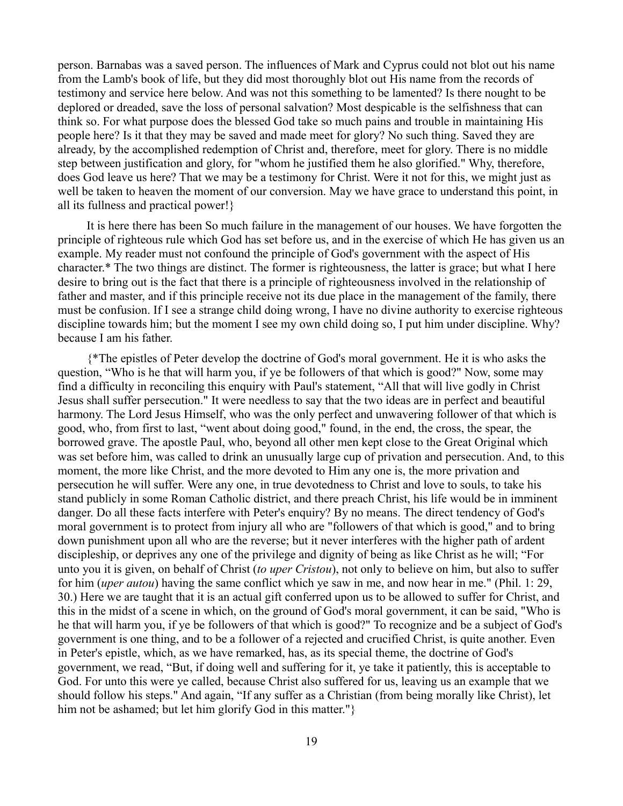person. Barnabas was a saved person. The influences of Mark and Cyprus could not blot out his name from the Lamb's book of life, but they did most thoroughly blot out His name from the records of testimony and service here below. And was not this something to be lamented? Is there nought to be deplored or dreaded, save the loss of personal salvation? Most despicable is the selfishness that can think so. For what purpose does the blessed God take so much pains and trouble in maintaining His people here? Is it that they may be saved and made meet for glory? No such thing. Saved they are already, by the accomplished redemption of Christ and, therefore, meet for glory. There is no middle step between justification and glory, for "whom he justified them he also glorified." Why, therefore, does God leave us here? That we may be a testimony for Christ. Were it not for this, we might just as well be taken to heaven the moment of our conversion. May we have grace to understand this point, in all its fullness and practical power!}

It is here there has been So much failure in the management of our houses. We have forgotten the principle of righteous rule which God has set before us, and in the exercise of which He has given us an example. My reader must not confound the principle of God's government with the aspect of His character.\* The two things are distinct. The former is righteousness, the latter is grace; but what I here desire to bring out is the fact that there is a principle of righteousness involved in the relationship of father and master, and if this principle receive not its due place in the management of the family, there must be confusion. If I see a strange child doing wrong, I have no divine authority to exercise righteous discipline towards him; but the moment I see my own child doing so, I put him under discipline. Why? because I am his father.

{\*The epistles of Peter develop the doctrine of God's moral government. He it is who asks the question, "Who is he that will harm you, if ye be followers of that which is good?" Now, some may find a difficulty in reconciling this enquiry with Paul's statement, "All that will live godly in Christ Jesus shall suffer persecution." It were needless to say that the two ideas are in perfect and beautiful harmony. The Lord Jesus Himself, who was the only perfect and unwavering follower of that which is good, who, from first to last, "went about doing good," found, in the end, the cross, the spear, the borrowed grave. The apostle Paul, who, beyond all other men kept close to the Great Original which was set before him, was called to drink an unusually large cup of privation and persecution. And, to this moment, the more like Christ, and the more devoted to Him any one is, the more privation and persecution he will suffer. Were any one, in true devotedness to Christ and love to souls, to take his stand publicly in some Roman Catholic district, and there preach Christ, his life would be in imminent danger. Do all these facts interfere with Peter's enquiry? By no means. The direct tendency of God's moral government is to protect from injury all who are "followers of that which is good," and to bring down punishment upon all who are the reverse; but it never interferes with the higher path of ardent discipleship, or deprives any one of the privilege and dignity of being as like Christ as he will; "For unto you it is given, on behalf of Christ (*to uper Cristou*), not only to believe on him, but also to suffer for him (*uper autou*) having the same conflict which ye saw in me, and now hear in me." (Phil. 1: 29, 30.) Here we are taught that it is an actual gift conferred upon us to be allowed to suffer for Christ, and this in the midst of a scene in which, on the ground of God's moral government, it can be said, "Who is he that will harm you, if ye be followers of that which is good?" To recognize and be a subject of God's government is one thing, and to be a follower of a rejected and crucified Christ, is quite another. Even in Peter's epistle, which, as we have remarked, has, as its special theme, the doctrine of God's government, we read, "But, if doing well and suffering for it, ye take it patiently, this is acceptable to God. For unto this were ye called, because Christ also suffered for us, leaving us an example that we should follow his steps." And again, "If any suffer as a Christian (from being morally like Christ), let him not be ashamed; but let him glorify God in this matter."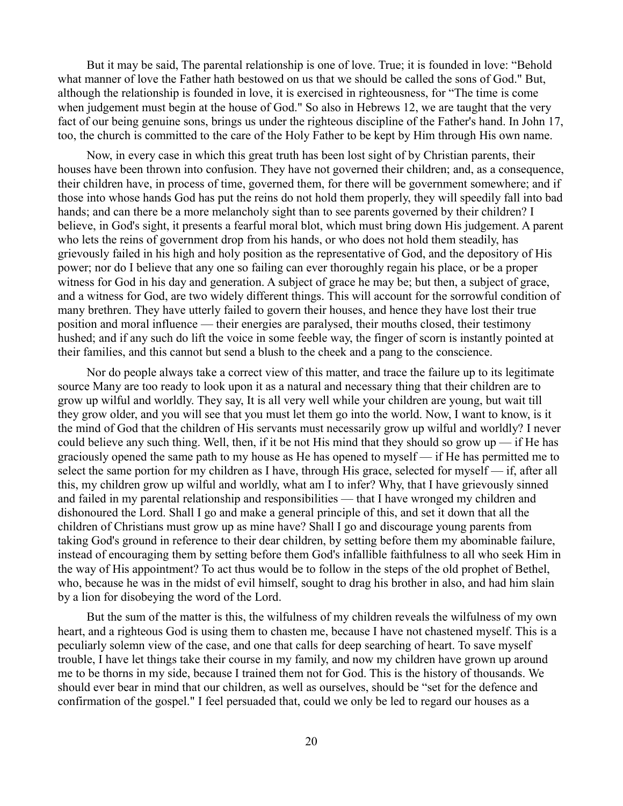But it may be said, The parental relationship is one of love. True; it is founded in love: "Behold what manner of love the Father hath bestowed on us that we should be called the sons of God." But, although the relationship is founded in love, it is exercised in righteousness, for "The time is come when judgement must begin at the house of God." So also in Hebrews 12, we are taught that the very fact of our being genuine sons, brings us under the righteous discipline of the Father's hand. In John 17, too, the church is committed to the care of the Holy Father to be kept by Him through His own name.

Now, in every case in which this great truth has been lost sight of by Christian parents, their houses have been thrown into confusion. They have not governed their children; and, as a consequence, their children have, in process of time, governed them, for there will be government somewhere; and if those into whose hands God has put the reins do not hold them properly, they will speedily fall into bad hands; and can there be a more melancholy sight than to see parents governed by their children? I believe, in God's sight, it presents a fearful moral blot, which must bring down His judgement. A parent who lets the reins of government drop from his hands, or who does not hold them steadily, has grievously failed in his high and holy position as the representative of God, and the depository of His power; nor do I believe that any one so failing can ever thoroughly regain his place, or be a proper witness for God in his day and generation. A subject of grace he may be; but then, a subject of grace, and a witness for God, are two widely different things. This will account for the sorrowful condition of many brethren. They have utterly failed to govern their houses, and hence they have lost their true position and moral influence — their energies are paralysed, their mouths closed, their testimony hushed; and if any such do lift the voice in some feeble way, the finger of scorn is instantly pointed at their families, and this cannot but send a blush to the cheek and a pang to the conscience.

Nor do people always take a correct view of this matter, and trace the failure up to its legitimate source Many are too ready to look upon it as a natural and necessary thing that their children are to grow up wilful and worldly. They say, It is all very well while your children are young, but wait till they grow older, and you will see that you must let them go into the world. Now, I want to know, is it the mind of God that the children of His servants must necessarily grow up wilful and worldly? I never could believe any such thing. Well, then, if it be not His mind that they should so grow  $up$  — if He has graciously opened the same path to my house as He has opened to myself — if He has permitted me to select the same portion for my children as I have, through His grace, selected for myself — if, after all this, my children grow up wilful and worldly, what am I to infer? Why, that I have grievously sinned and failed in my parental relationship and responsibilities — that I have wronged my children and dishonoured the Lord. Shall I go and make a general principle of this, and set it down that all the children of Christians must grow up as mine have? Shall I go and discourage young parents from taking God's ground in reference to their dear children, by setting before them my abominable failure, instead of encouraging them by setting before them God's infallible faithfulness to all who seek Him in the way of His appointment? To act thus would be to follow in the steps of the old prophet of Bethel, who, because he was in the midst of evil himself, sought to drag his brother in also, and had him slain by a lion for disobeying the word of the Lord.

But the sum of the matter is this, the wilfulness of my children reveals the wilfulness of my own heart, and a righteous God is using them to chasten me, because I have not chastened myself. This is a peculiarly solemn view of the case, and one that calls for deep searching of heart. To save myself trouble, I have let things take their course in my family, and now my children have grown up around me to be thorns in my side, because I trained them not for God. This is the history of thousands. We should ever bear in mind that our children, as well as ourselves, should be "set for the defence and confirmation of the gospel." I feel persuaded that, could we only be led to regard our houses as a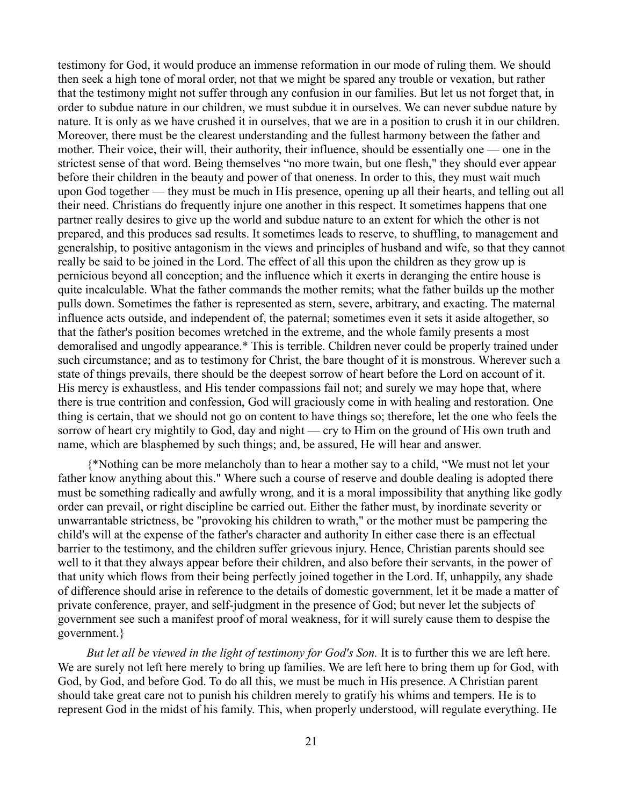testimony for God, it would produce an immense reformation in our mode of ruling them. We should then seek a high tone of moral order, not that we might be spared any trouble or vexation, but rather that the testimony might not suffer through any confusion in our families. But let us not forget that, in order to subdue nature in our children, we must subdue it in ourselves. We can never subdue nature by nature. It is only as we have crushed it in ourselves, that we are in a position to crush it in our children. Moreover, there must be the clearest understanding and the fullest harmony between the father and mother. Their voice, their will, their authority, their influence, should be essentially one — one in the strictest sense of that word. Being themselves "no more twain, but one flesh," they should ever appear before their children in the beauty and power of that oneness. In order to this, they must wait much upon God together — they must be much in His presence, opening up all their hearts, and telling out all their need. Christians do frequently injure one another in this respect. It sometimes happens that one partner really desires to give up the world and subdue nature to an extent for which the other is not prepared, and this produces sad results. It sometimes leads to reserve, to shuffling, to management and generalship, to positive antagonism in the views and principles of husband and wife, so that they cannot really be said to be joined in the Lord. The effect of all this upon the children as they grow up is pernicious beyond all conception; and the influence which it exerts in deranging the entire house is quite incalculable. What the father commands the mother remits; what the father builds up the mother pulls down. Sometimes the father is represented as stern, severe, arbitrary, and exacting. The maternal influence acts outside, and independent of, the paternal; sometimes even it sets it aside altogether, so that the father's position becomes wretched in the extreme, and the whole family presents a most demoralised and ungodly appearance.\* This is terrible. Children never could be properly trained under such circumstance; and as to testimony for Christ, the bare thought of it is monstrous. Wherever such a state of things prevails, there should be the deepest sorrow of heart before the Lord on account of it. His mercy is exhaustless, and His tender compassions fail not; and surely we may hope that, where there is true contrition and confession, God will graciously come in with healing and restoration. One thing is certain, that we should not go on content to have things so; therefore, let the one who feels the sorrow of heart cry mightily to God, day and night — cry to Him on the ground of His own truth and name, which are blasphemed by such things; and, be assured, He will hear and answer.

{\*Nothing can be more melancholy than to hear a mother say to a child, "We must not let your father know anything about this." Where such a course of reserve and double dealing is adopted there must be something radically and awfully wrong, and it is a moral impossibility that anything like godly order can prevail, or right discipline be carried out. Either the father must, by inordinate severity or unwarrantable strictness, be "provoking his children to wrath," or the mother must be pampering the child's will at the expense of the father's character and authority In either case there is an effectual barrier to the testimony, and the children suffer grievous injury. Hence, Christian parents should see well to it that they always appear before their children, and also before their servants, in the power of that unity which flows from their being perfectly joined together in the Lord. If, unhappily, any shade of difference should arise in reference to the details of domestic government, let it be made a matter of private conference, prayer, and self-judgment in the presence of God; but never let the subjects of government see such a manifest proof of moral weakness, for it will surely cause them to despise the government.}

*But let all be viewed in the light of testimony for God's Son.* It is to further this we are left here. We are surely not left here merely to bring up families. We are left here to bring them up for God, with God, by God, and before God. To do all this, we must be much in His presence. A Christian parent should take great care not to punish his children merely to gratify his whims and tempers. He is to represent God in the midst of his family. This, when properly understood, will regulate everything. He